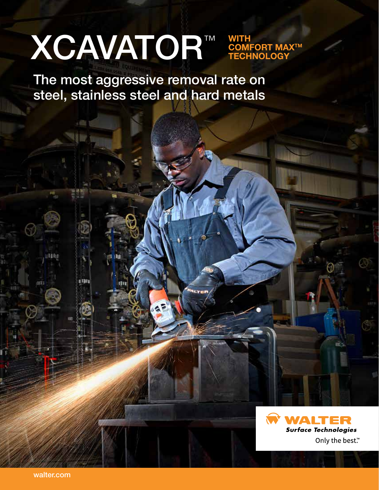# LIGHT IN 1999 XCAVATOR™ WITH

COMFORT MAXTM TECHNOLOGY

The most aggressive removal rate on steel, stainless steel and hard metals

**ALTER** 



i Bib